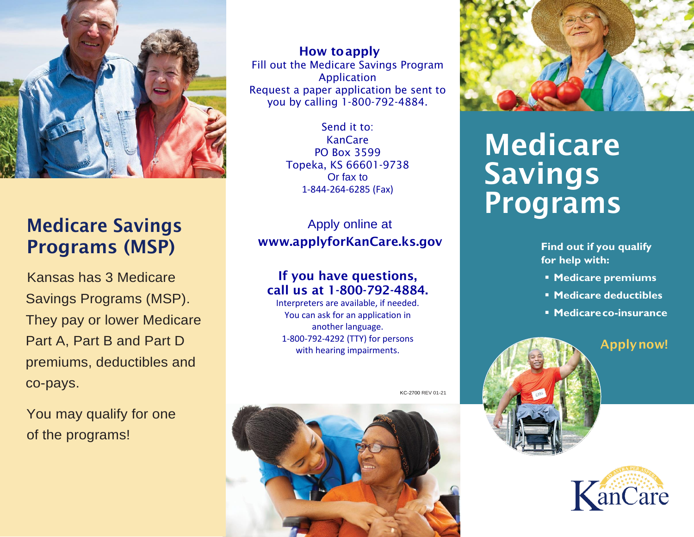

## Medicare Savings Programs (MSP)

Kansas has 3 Medicare Savings Programs (MSP). They pay or lower Medicare Part A, Part B and Part D premiums, deductibles and co-pays.

You may qualify for one of the programs!

 How toapply Fill out the Medicare Savings Program Application Request a paper application be sent to you by calling 1-800-792-4884.

> Send it to: KanCare PO Box 3599 Topeka, KS 66601-9738 Or fax to 1-844-264-6285 (Fax)

Apply online at [www.applyforKanCare.ks.gov](http://www.applyforkancare.ks.gov/)

#### If you have questions, call us at 1-800-792-4884.

Interpreters are available, if needed. You can ask for an application in another language. 1-800-792-4292 (TTY) for persons with hearing impairments.

KC-2700 REV 01-21





# Medicare Savings Programs

**Find out if you qualify for help with:**

- **Medicare premiums**
- **Medicare deductibles**
- **Medicareco-insurance**